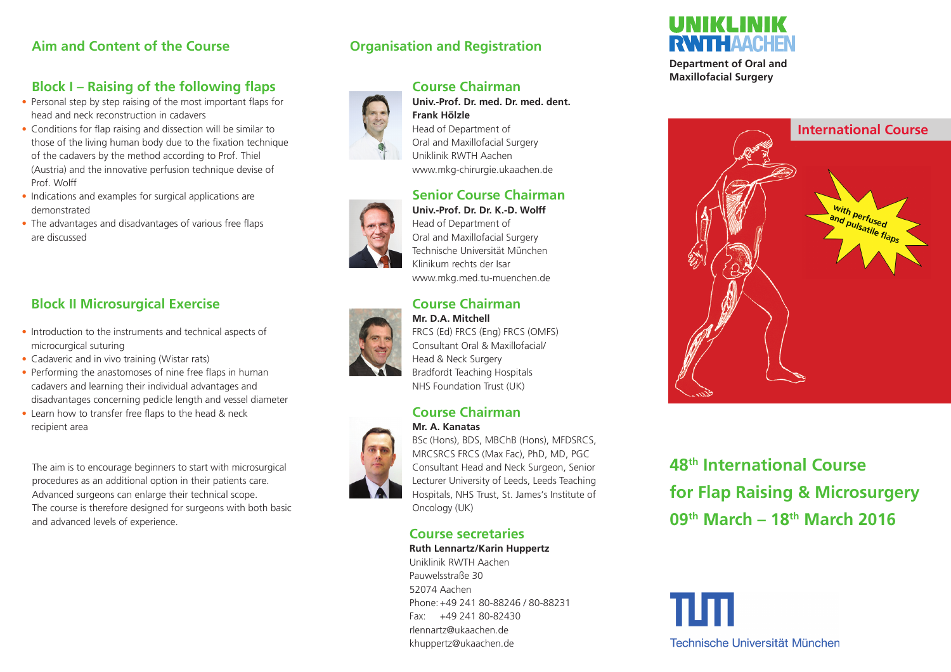### **Aim and Content of the Course**

### **Block I – Raising of the following flaps**

- Personal step by step raising of the most important flaps for head and neck reconstruction in cadavers
- Conditions for flap raising and dissection will be similar to those of the living human body due to the fixation technique of the cadavers by the method according to Prof. Thiel (Austria) and the innovative perfusion technique devise of Prof. Wolff
- Indications and examples for surgical applications are demonstrated
- The advantages and disadvantages of various free flaps are discussed

### **Block II Microsurgical Exercise**

- Introduction to the instruments and technical aspects of microcurgical suturing
- Cadaveric and in vivo training (Wistar rats)
- Performing the anastomoses of nine free flaps in human cadavers and learning their individual advantages and disadvantages concerning pedicle length and vessel diameter
- Learn how to transfer free flaps to the head & neck recipient area

The aim is to encourage beginners to start with microsurgical procedures as an additional option in their patients care. Advanced surgeons can enlarge their technical scope. The course is therefore designed for surgeons with both basic and advanced levels of experience.

### **Organisation and Registration**



### **Course Chairman**

**Univ.-Prof. Dr. med. Dr. med. dent.** 

**Frank Hölzle** Head of Department of Oral and Maxillofacial Surgery Uniklinik RWTH Aachen www.mkg-chirurgie.ukaachen.de

### **Senior Course Chairman**



**Univ.-Prof. Dr. Dr. K.-D. Wolff** Head of Department of Oral and Maxillofacial Surgery Technische Universität München Klinikum rechts der Isar www.mkg.med.tu-muenchen.de

## **Course Chairman**



# **Mr. D.A. Mitchell**

FRCS (Ed) FRCS (Eng) FRCS (OMFS) Consultant Oral & Maxillofacial/ Head & Neck Surgery Bradfordt Teaching Hospitals NHS Foundation Trust (UK)

#### **Course Chairman Mr. A. Kanatas**



BSc (Hons), BDS, MBChB (Hons), MFDSRCS, MRCSRCS FRCS (Max Fac), PhD, MD, PGC Consultant Head and Neck Surgeon, Senior Lecturer University of Leeds, Leeds Teaching Hospitals, NHS Trust, St. James's Institute of Oncology (UK)

### **Course secretaries**

**Ruth Lennartz/Karin Huppertz**

Uniklinik RWTH Aachen Pauwelsstraße 30 52074 Aachen Phone: +49 241 80-88246 / 80-88231 Fax: +49 241 80-82430 rlennartz@ukaachen.de khuppertz@ukaachen.de



**Department of Oral and Maxillofacial Surgery**



**48th International Course for Flap Raising & Microsurgery 09th March – 18th March 2016** 

Technische Universität München